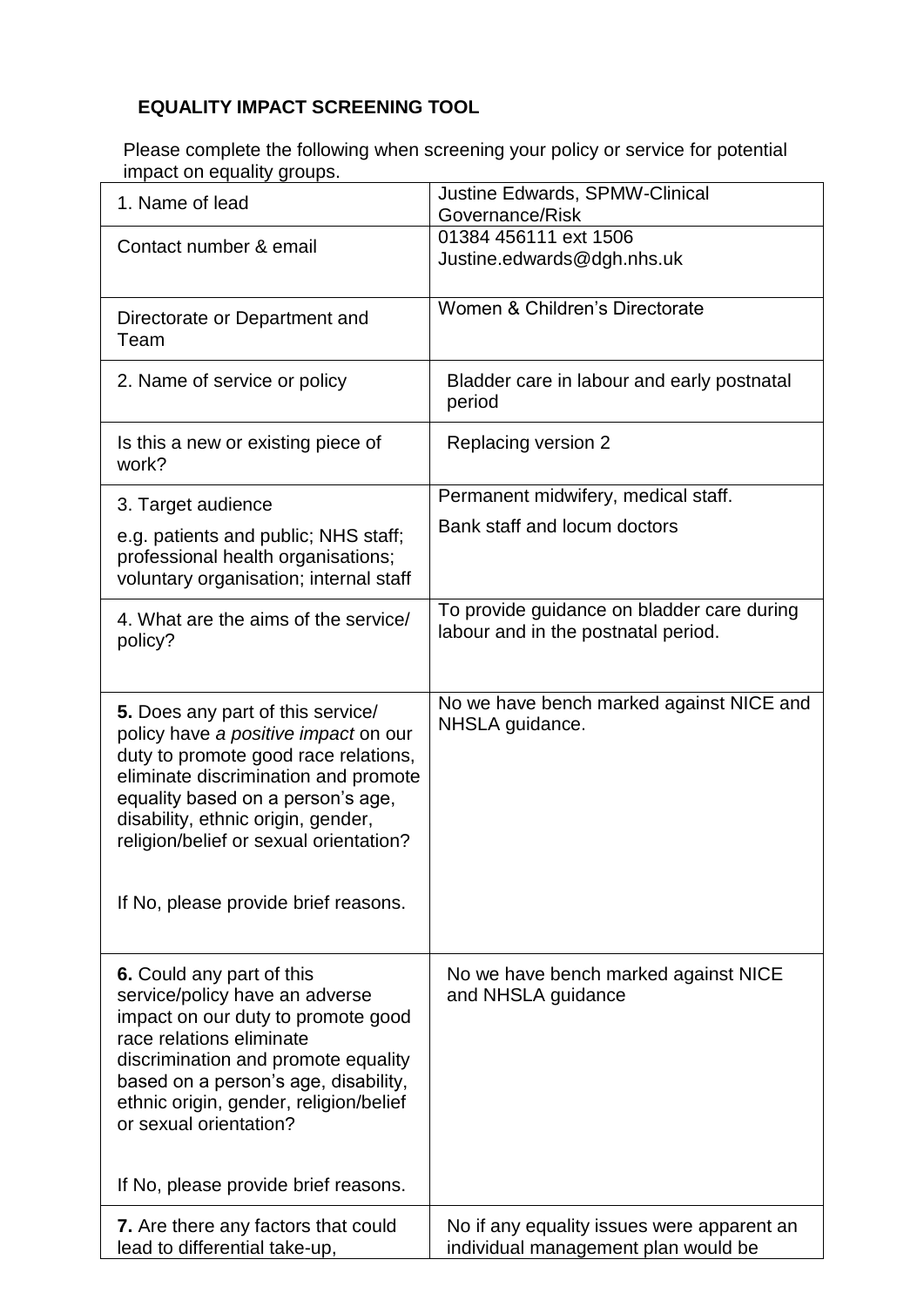## **EQUALITY IMPACT SCREENING TOOL**

Please complete the following when screening your policy or service for potential impact on equality groups.

| <b>Justine Edwards, SPMW-Clinical</b><br>1. Name of lead<br>Governance/Risk<br>01384 456111 ext 1506<br>Contact number & email<br>Justine.edwards@dgh.nhs.uk<br>Women & Children's Directorate<br>Directorate or Department and<br>Team<br>2. Name of service or policy<br>Bladder care in labour and early postnatal<br>period<br>Replacing version 2<br>Is this a new or existing piece of<br>work?<br>Permanent midwifery, medical staff.<br>3. Target audience |  |
|--------------------------------------------------------------------------------------------------------------------------------------------------------------------------------------------------------------------------------------------------------------------------------------------------------------------------------------------------------------------------------------------------------------------------------------------------------------------|--|
|                                                                                                                                                                                                                                                                                                                                                                                                                                                                    |  |
|                                                                                                                                                                                                                                                                                                                                                                                                                                                                    |  |
|                                                                                                                                                                                                                                                                                                                                                                                                                                                                    |  |
|                                                                                                                                                                                                                                                                                                                                                                                                                                                                    |  |
|                                                                                                                                                                                                                                                                                                                                                                                                                                                                    |  |
|                                                                                                                                                                                                                                                                                                                                                                                                                                                                    |  |
| Bank staff and locum doctors<br>e.g. patients and public; NHS staff;<br>professional health organisations;<br>voluntary organisation; internal staff                                                                                                                                                                                                                                                                                                               |  |
| To provide guidance on bladder care during<br>4. What are the aims of the service/<br>labour and in the postnatal period.<br>policy?                                                                                                                                                                                                                                                                                                                               |  |
| No we have bench marked against NICE and<br>5. Does any part of this service/<br>NHSLA guidance.<br>policy have a positive impact on our<br>duty to promote good race relations,<br>eliminate discrimination and promote<br>equality based on a person's age,<br>disability, ethnic origin, gender,<br>religion/belief or sexual orientation?                                                                                                                      |  |
| If No, please provide brief reasons.                                                                                                                                                                                                                                                                                                                                                                                                                               |  |
| 6. Could any part of this<br>No we have bench marked against NICE<br>service/policy have an adverse<br>and NHSLA guidance<br>impact on our duty to promote good<br>race relations eliminate<br>discrimination and promote equality<br>based on a person's age, disability,<br>ethnic origin, gender, religion/belief<br>or sexual orientation?<br>If No, please provide brief reasons.                                                                             |  |
| No if any equality issues were apparent an<br>7. Are there any factors that could<br>lead to differential take-up,<br>individual management plan would be                                                                                                                                                                                                                                                                                                          |  |